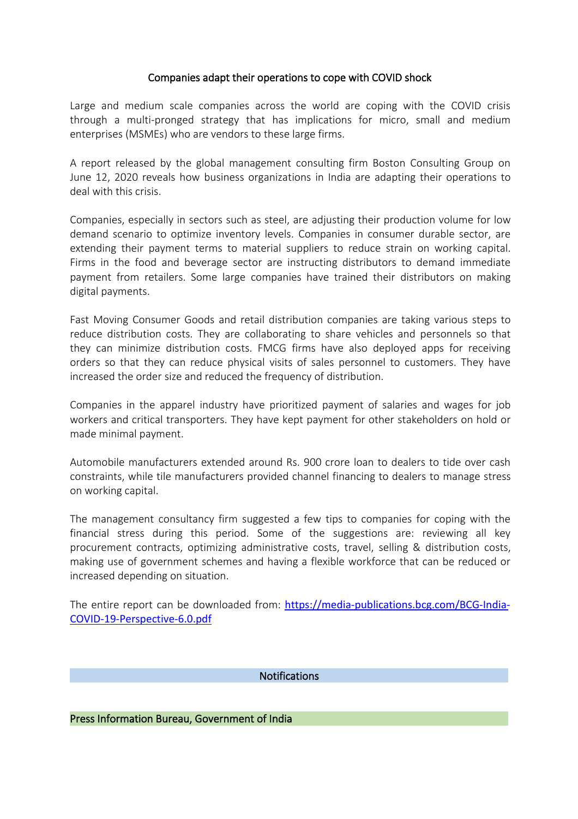## Companies adapt their operations to cope with COVID shock

Large and medium scale companies across the world are coping with the COVID crisis through a multi-pronged strategy that has implications for micro, small and medium enterprises (MSMEs) who are vendors to these large firms.<br>A report released by the global management consulting firm Boston Consulting Group on

June 12, 2020 reveals how business organizations in India are adapting their operations to deal with this crisis.

Companies, especially in sectors such as steel, are adjusting their production volume for low demand scenario to optimize inventory levels. Companies in consumer durable sector, are extending their payment terms to material suppliers to reduce strain on working capital. Firms in the food and beverage sector are instructing distributors to demand immediate payment from retailers. Some large companies have trained their distributors on making digital payments.

Fast Moving Consumer Goods and retail distribution companies are taking various steps to reduce distribution costs. They are collaborating to share vehicles and personnels so that they can minimize distribution costs. FMCG firms have also deployed apps for receiving orders so that they can reduce physical visits of sales personnel to customers. They have increased the order size and reduced the frequency of distribution.

Companies in the apparel industry have prioritized payment of salaries and wages for job workers and critical transporters. They have kept payment for other stakeholders on hold or made minimal payment.

Automobile manufacturers extended around Rs. 900 crore loan to dealers to tide over cash constraints, while tile manufacturers provided channel financing to dealers to manage stress on working capital.

The management consultancy firm suggested a few tips to companies for coping with the financial stress during this period. Some of the suggestions are: reviewing all key procurement contracts, optimizing administrative costs, travel, selling & distribution costs, making use of government schemes and having a flexible workforce that can be reduced or increased depending on situation.

The entire report can be downloaded from: [https://media-publications.bcg.com/BCG-India-](https://media-publications.bcg.com/BCG-India-COVID-19-Perspective-6.0.pdf) COVID-19-Perspective-6.0.pdf

Notifications

Press Information Bureau, Government of India